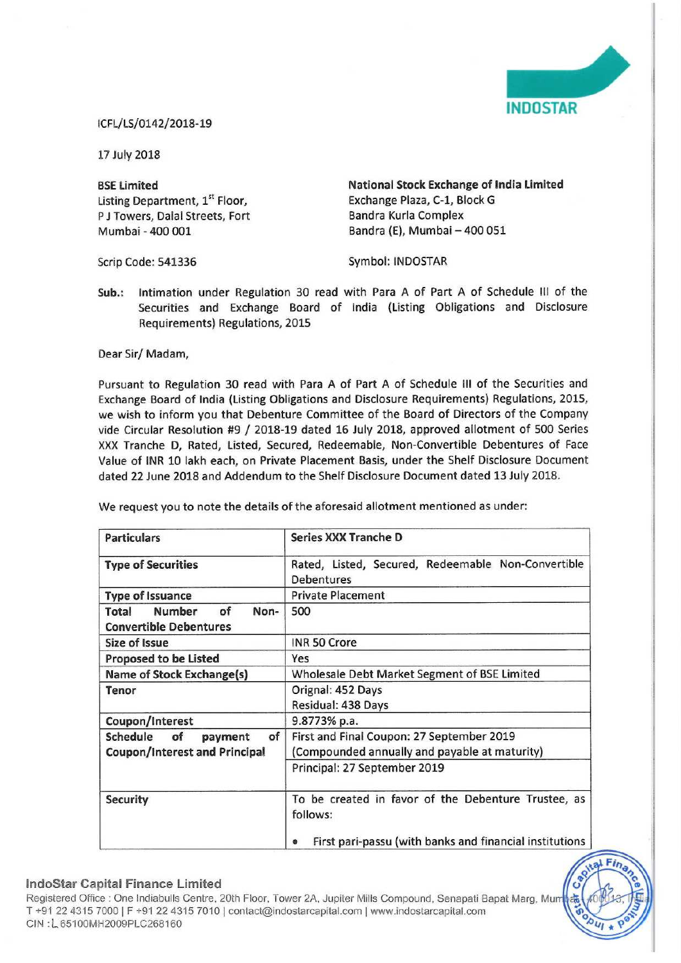

## lCFL/LS/0142/2018-19

17 July 2018

BSE Limited Listing Department, 1" Floor, <sup>P</sup> <sup>J</sup> Towers, Dalal Streets, Fort Mumbai -400 001

National Stock Exchange of India Limited Exchange Plaza, C-l, Block <sup>G</sup> Bandra Kurla Complex Bandra (E), Mumbai — 400 051

Scrip Code: 541336

Symbol: INDOSTAR

Sub.: Intimation under Regulation 30 read with Para <sup>A</sup> of Part <sup>A</sup> of Schedule Ill of the Securities and Exchange Board of India (Listing Obligations and Disclosure Requirements) Regulations, 2015

Dear Sir/ Madam,

Pursuant to Regulation 30 read with Para <sup>A</sup> of Part <sup>A</sup> of Schedule III of the Securities and Exchange Board of India (Listing Obligations and Disclosure Requirements) Regulations, 2015, we wish to inform you that Debenture Committee of the Board of Directors of the Company vide Circular Resolution #9 / 2018-19 dated <sup>16</sup> July 2018, approved allotment of <sup>500</sup> Series XXX Tranche D, Rated, Listed, Secured, Redeemable, Non-Convertible Debentures of Face Value of INR 10 lakh each, on Private Placement Basis, under the Shelf Disclosure Document dated 22 June 2018 and Addendum to the Shelf Disclosure Document dated 13 July 2018,

| <b>Particulars</b>                                                    | <b>Series XXX Tranche D</b>                                             |
|-----------------------------------------------------------------------|-------------------------------------------------------------------------|
| <b>Type of Securities</b>                                             | Rated, Listed, Secured, Redeemable Non-Convertible<br><b>Debentures</b> |
| <b>Type of Issuance</b>                                               | <b>Private Placement</b>                                                |
| <b>Number</b><br>of<br>Non-<br>Total<br><b>Convertible Debentures</b> | 500                                                                     |
| <b>Size of Issue</b>                                                  | <b>INR 50 Crore</b>                                                     |
| <b>Proposed to be Listed</b>                                          | Yes                                                                     |
| Name of Stock Exchange(s)                                             | Wholesale Debt Market Segment of BSE Limited                            |
| Tenor                                                                 | Orignal: 452 Days                                                       |
|                                                                       | Residual: 438 Days                                                      |
| Coupon/Interest                                                       | 9.8773% p.a.                                                            |
| Schedule<br>of<br>of<br>payment                                       | First and Final Coupon: 27 September 2019                               |
| <b>Coupon/Interest and Principal</b>                                  | (Compounded annually and payable at maturity)                           |
|                                                                       | Principal: 27 September 2019                                            |
| <b>Security</b>                                                       | To be created in favor of the Debenture Trustee, as<br>follows:         |
|                                                                       | First pari-passu (with banks and financial institutions                 |

We request you to note the details of the aforesaid allotment mentioned as under:

## IndoStar Capital Finance Limited

Regisiered Office ' One Indlabulls Centre, 20th Floor, Tower 2A, Jupller Mills Compound, Senapati Bapat Marg, Mu T +91 22 4315 7000 | F +91 22 4315 7010 | contact@indostarcapital.com | www.indostarcapital.com ClN 'L65100MH2009PLC26816O